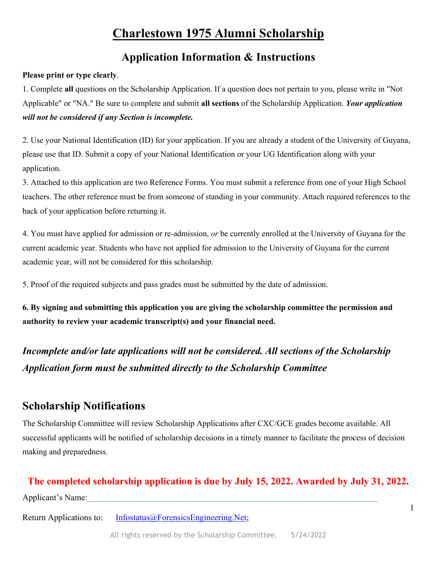## **Application Information & Instructions**

#### **Please print or type clearly**.

1. Complete **all** questions on the Scholarship Application. If a question does not pertain to you, please write in "Not Applicable" or "NA." Be sure to complete and submit **all sections** of the Scholarship Application. *Your application will not be considered if any Section is incomplete.* 

2. Use your National Identification (ID) for your application. If you are already a student of the University of Guyana, please use that ID. Submit a copy of your National Identification or your UG Identification along with your application.

3. Attached to this application are two Reference Forms. You must submit a reference from one of your High School teachers. The other reference must be from someone of standing in your community. Attach required references to the back of your application before returning it.

4. You must have applied for admission or re-admission, *or* be currently enrolled at the University of Guyana for the current academic year. Students who have not applied for admission to the University of Guyana for the current academic year, will not be considered for this scholarship.

5. Proof of the required subjects and pass grades must be submitted by the date of admission.

**6. By signing and submitting this application you are giving the scholarship committee the permission and authority to review your academic transcript(s) and your financial need.** 

*Incomplete and/or late applications will not be considered. All sections of the Scholarship Application form must be submitted directly to the Scholarship Committee*

## **Scholarship Notifications**

The Scholarship Committee will review Scholarship Applications after CXC/GCE grades become available. All successful applicants will be notified of scholarship decisions in a timely manner to facilitate the process of decision making and preparedness.

#### **The completed scholarship application is due by July 15, 2022. Awarded by July 31, 2022.**

Applicant's Name: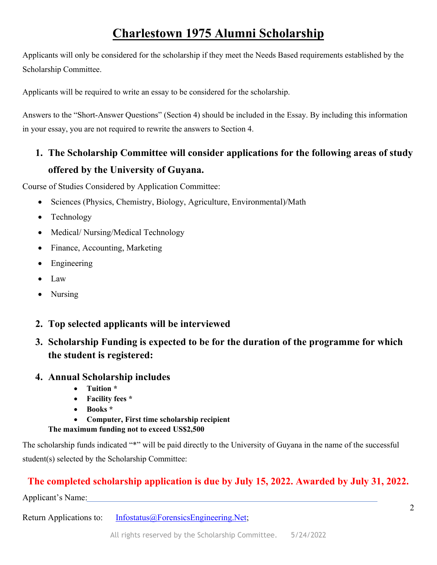Applicants will only be considered for the scholarship if they meet the Needs Based requirements established by the Scholarship Committee.

Applicants will be required to write an essay to be considered for the scholarship.

Answers to the "Short-Answer Questions" (Section 4) should be included in the Essay. By including this information in your essay, you are not required to rewrite the answers to Section 4.

# **1. The Scholarship Committee will consider applications for the following areas of study offered by the University of Guyana.**

Course of Studies Considered by Application Committee:

- Sciences (Physics, Chemistry, Biology, Agriculture, Environmental)/Math
- Technology
- Medical/ Nursing/Medical Technology
- Finance, Accounting, Marketing
- Engineering
- Law
- Nursing
- **2. Top selected applicants will be interviewed**
- **3. Scholarship Funding is expected to be for the duration of the programme for which the student is registered:**

#### **4. Annual Scholarship includes**

- **Tuition \***
- **Facility fees \***
- **Books \***
- **Computer, First time scholarship recipient**
- **The maximum funding not to exceed US\$2,500**

The scholarship funds indicated "\*" will be paid directly to the University of Guyana in the name of the successful student(s) selected by the Scholarship Committee:

## **The completed scholarship application is due by July 15, 2022. Awarded by July 31, 2022.**

Applicant's Name: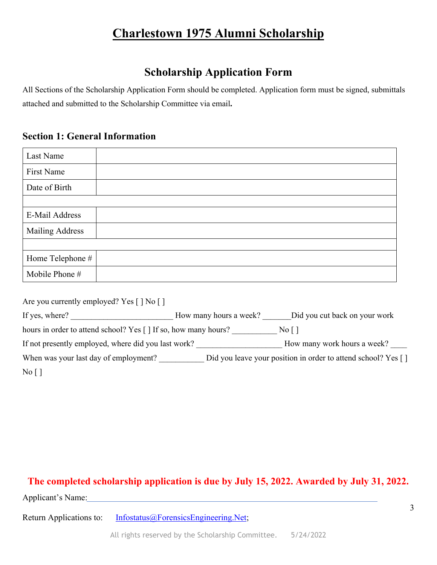## **Scholarship Application Form**

All Sections of the Scholarship Application Form should be completed. Application form must be signed, submittals attached and submitted to the Scholarship Committee via email**.** 

#### **Section 1: General Information**

| Last Name              |  |
|------------------------|--|
| First Name             |  |
| Date of Birth          |  |
|                        |  |
| E-Mail Address         |  |
| <b>Mailing Address</b> |  |
|                        |  |
| Home Telephone #       |  |
| Mobile Phone #         |  |

| Are you currently employed? Yes $\lceil \cdot \rceil$ No $\lceil \cdot \rceil$ |                        |                                                               |
|--------------------------------------------------------------------------------|------------------------|---------------------------------------------------------------|
| If yes, where?                                                                 | How many hours a week? | Did you cut back on your work                                 |
| hours in order to attend school? Yes [] If so, how many hours?                 |                        | $\overline{N_0}$                                              |
| If not presently employed, where did you last work?                            |                        | How many work hours a week?                                   |
| When was your last day of employment?                                          |                        | Did you leave your position in order to attend school? Yes [] |
| $\overline{N_0}$   $\overline{)}$                                              |                        |                                                               |

#### **The completed scholarship application is due by July 15, 2022. Awarded by July 31, 2022.**

Applicant's Name: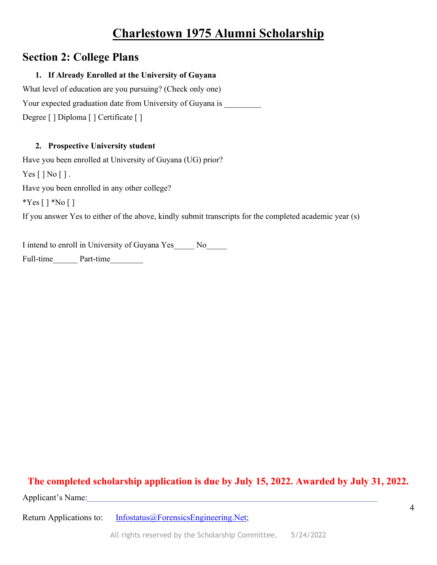## **Section 2: College Plans**

#### **1. If Already Enrolled at the University of Guyana**

What level of education are you pursuing? (Check only one) Your expected graduation date from University of Guyana is Degree [ ] Diploma [ ] Certificate [ ]

#### **2. Prospective University student**

Have you been enrolled at University of Guyana (UG) prior?  $Yes [ ] No [ ].$ Have you been enrolled in any other college? \*Yes  $[ ] * No [ ]$ If you answer Yes to either of the above, kindly submit transcripts for the completed academic year (s)

I intend to enroll in University of Guyana Yes No

Full-time Part-time

### **The completed scholarship application is due by July 15, 2022. Awarded by July 31, 2022.**

Applicant's Name: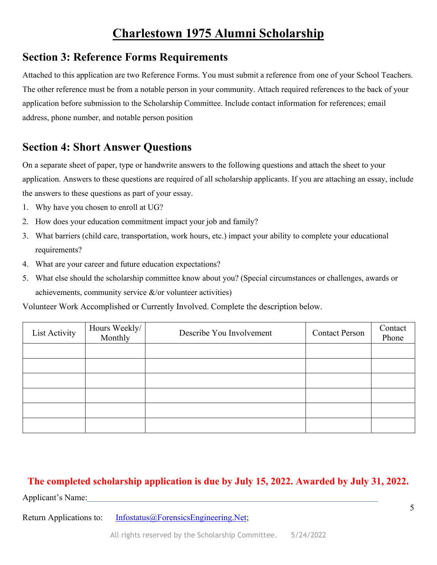### **Section 3: Reference Forms Requirements**

Attached to this application are two Reference Forms. You must submit a reference from one of your School Teachers. The other reference must be from a notable person in your community. Attach required references to the back of your application before submission to the Scholarship Committee. Include contact information for references; email address, phone number, and notable person position

## **Section 4: Short Answer Questions**

On a separate sheet of paper, type or handwrite answers to the following questions and attach the sheet to your application. Answers to these questions are required of all scholarship applicants. If you are attaching an essay, include the answers to these questions as part of your essay.

- 1. Why have you chosen to enroll at UG?
- 2. How does your education commitment impact your job and family?
- 3. What barriers (child care, transportation, work hours, etc.) impact your ability to complete your educational requirements?
- 4. What are your career and future education expectations?
- 5. What else should the scholarship committee know about you? (Special circumstances or challenges, awards or achievements, community service &/or volunteer activities)

Volunteer Work Accomplished or Currently Involved. Complete the description below.

| List Activity | Hours Weekly/<br>Monthly | Describe You Involvement | <b>Contact Person</b> | Contact<br>Phone |
|---------------|--------------------------|--------------------------|-----------------------|------------------|
|               |                          |                          |                       |                  |
|               |                          |                          |                       |                  |
|               |                          |                          |                       |                  |
|               |                          |                          |                       |                  |
|               |                          |                          |                       |                  |
|               |                          |                          |                       |                  |

#### **The completed scholarship application is due by July 15, 2022. Awarded by July 31, 2022.**

Applicant's Name: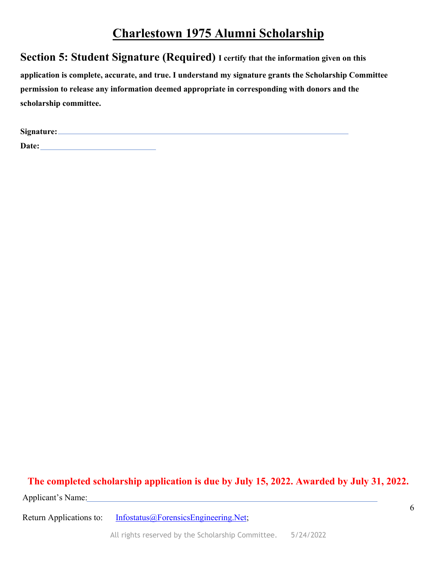**Section 5: Student Signature (Required) I certify that the information given on this** 

**application is complete, accurate, and true. I understand my signature grants the Scholarship Committee permission to release any information deemed appropriate in corresponding with donors and the scholarship committee.** 

| Signature:_ |  |  |  |
|-------------|--|--|--|
| Date:       |  |  |  |

#### **The completed scholarship application is due by July 15, 2022. Awarded by July 31, 2022.**

Applicant's Name: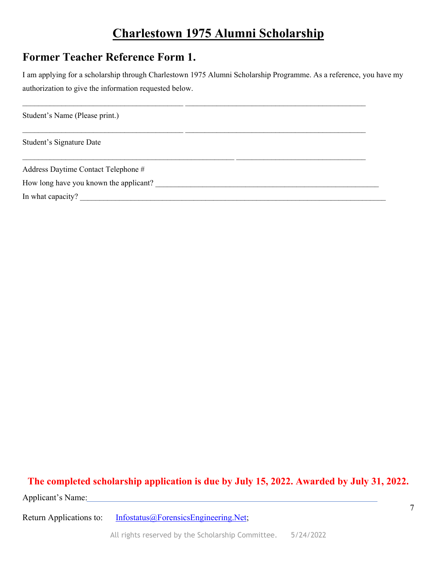## **Former Teacher Reference Form 1.**

I am applying for a scholarship through Charlestown 1975 Alumni Scholarship Programme. As a reference, you have my authorization to give the information requested below.

 $\mathcal{L}_\text{max} = \mathcal{L}_\text{max} = \mathcal{L}_\text{max} = \mathcal{L}_\text{max} = \mathcal{L}_\text{max} = \mathcal{L}_\text{max} = \mathcal{L}_\text{max} = \mathcal{L}_\text{max} = \mathcal{L}_\text{max} = \mathcal{L}_\text{max} = \mathcal{L}_\text{max} = \mathcal{L}_\text{max} = \mathcal{L}_\text{max} = \mathcal{L}_\text{max} = \mathcal{L}_\text{max} = \mathcal{L}_\text{max} = \mathcal{L}_\text{max} = \mathcal{L}_\text{max} = \mathcal{$ Student's Name (Please print.)  $\_$  , and the state of the state of the state of the state of the state of the state of the state of the state of the state of the state of the state of the state of the state of the state of the state of the state of the Student's Signature Date  $\_$  , and the state of the state of the state of the state of the state of the state of the state of the state of the state of the state of the state of the state of the state of the state of the state of the state of the Address Daytime Contact Telephone # How long have you known the applicant? \_\_\_\_\_\_\_\_\_\_\_\_\_\_\_\_\_\_\_\_\_\_\_\_\_\_\_\_\_\_\_\_\_\_\_\_\_\_\_\_\_\_\_\_\_\_\_\_\_\_\_\_\_\_\_\_\_ In what capacity? \_\_\_\_\_\_\_\_\_\_\_\_\_\_\_\_\_\_\_\_\_\_\_\_\_\_\_\_\_\_\_\_\_\_\_\_\_\_\_\_\_\_\_\_\_\_\_\_\_\_\_\_\_\_\_\_\_\_\_\_\_\_\_\_\_\_\_\_\_\_\_\_\_\_\_\_\_\_

#### **The completed scholarship application is due by July 15, 2022. Awarded by July 31, 2022.**

Applicant's Name: Name: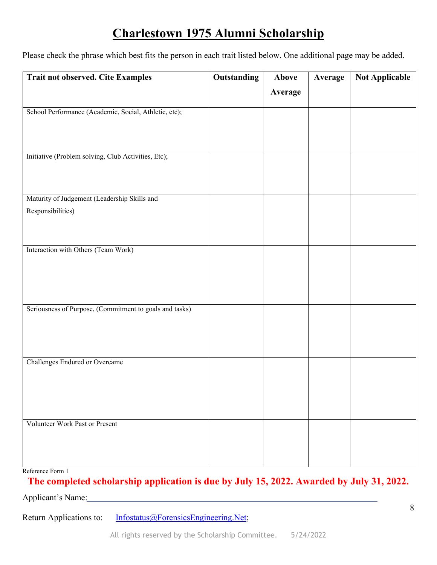Please check the phrase which best fits the person in each trait listed below. One additional page may be added.

| <b>Trait not observed. Cite Examples</b>                | <b>Outstanding</b> | Above   | Average | <b>Not Applicable</b> |
|---------------------------------------------------------|--------------------|---------|---------|-----------------------|
|                                                         |                    | Average |         |                       |
|                                                         |                    |         |         |                       |
| School Performance (Academic, Social, Athletic, etc);   |                    |         |         |                       |
|                                                         |                    |         |         |                       |
|                                                         |                    |         |         |                       |
| Initiative (Problem solving, Club Activities, Etc);     |                    |         |         |                       |
|                                                         |                    |         |         |                       |
|                                                         |                    |         |         |                       |
| Maturity of Judgement (Leadership Skills and            |                    |         |         |                       |
| Responsibilities)                                       |                    |         |         |                       |
|                                                         |                    |         |         |                       |
|                                                         |                    |         |         |                       |
| Interaction with Others (Team Work)                     |                    |         |         |                       |
|                                                         |                    |         |         |                       |
|                                                         |                    |         |         |                       |
|                                                         |                    |         |         |                       |
|                                                         |                    |         |         |                       |
| Seriousness of Purpose, (Commitment to goals and tasks) |                    |         |         |                       |
|                                                         |                    |         |         |                       |
|                                                         |                    |         |         |                       |
|                                                         |                    |         |         |                       |
| Challenges Endured or Overcame                          |                    |         |         |                       |
|                                                         |                    |         |         |                       |
|                                                         |                    |         |         |                       |
|                                                         |                    |         |         |                       |
|                                                         |                    |         |         |                       |
| <b>Volunteer Work Past or Present</b>                   |                    |         |         |                       |
|                                                         |                    |         |         |                       |
|                                                         |                    |         |         |                       |
|                                                         |                    |         |         |                       |

Reference Form 1

#### **The completed scholarship application is due by July 15, 2022. Awarded by July 31, 2022.**

Applicant's Name: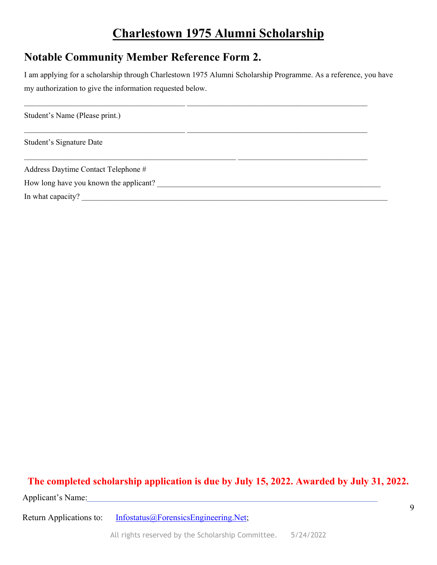### **Notable Community Member Reference Form 2.**

I am applying for a scholarship through Charlestown 1975 Alumni Scholarship Programme. As a reference, you have my authorization to give the information requested below.

 $\mathcal{L}_\text{max} = \mathcal{L}_\text{max} = \mathcal{L}_\text{max} = \mathcal{L}_\text{max} = \mathcal{L}_\text{max} = \mathcal{L}_\text{max} = \mathcal{L}_\text{max} = \mathcal{L}_\text{max} = \mathcal{L}_\text{max} = \mathcal{L}_\text{max} = \mathcal{L}_\text{max} = \mathcal{L}_\text{max} = \mathcal{L}_\text{max} = \mathcal{L}_\text{max} = \mathcal{L}_\text{max} = \mathcal{L}_\text{max} = \mathcal{L}_\text{max} = \mathcal{L}_\text{max} = \mathcal{$ Student's Name (Please print.)  $\_$  , and the set of the set of the set of the set of the set of the set of the set of the set of the set of the set of the set of the set of the set of the set of the set of the set of the set of the set of the set of th Student's Signature Date  $\_$  , and the state of the state of the state of the state of the state of the state of the state of the state of the state of the state of the state of the state of the state of the state of the state of the state of the Address Daytime Contact Telephone # How long have you known the applicant? \_\_\_\_\_\_\_\_\_\_\_\_\_\_\_\_\_\_\_\_\_\_\_\_\_\_\_\_\_\_\_\_\_\_\_\_\_\_\_\_\_\_\_\_\_\_\_\_\_\_\_\_\_\_\_\_\_ In what capacity? \_\_\_\_\_\_\_\_\_\_\_\_\_\_\_\_\_\_\_\_\_\_\_\_\_\_\_\_\_\_\_\_\_\_\_\_\_\_\_\_\_\_\_\_\_\_\_\_\_\_\_\_\_\_\_\_\_\_\_\_\_\_\_\_\_\_\_\_\_\_\_\_\_\_\_\_\_\_

## **The completed scholarship application is due by July 15, 2022. Awarded by July 31, 2022.**

Applicant's Name: Name: Name: Name: Name: Name: Name: Name: Name: Name: Name: Name: Name: Name: Name: Name: Name: Name: Name: Name: Name: Name: Name: Name: Name: Name: Name: Name: Name: Name: Name: Name: Name: Name: Name: